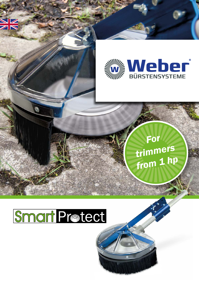

# SmartProtect